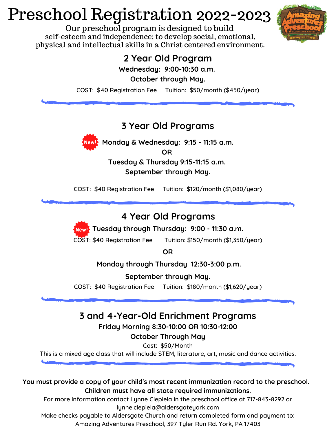# Preschool Registration 2022-2023

Our preschool program is designed to build self-esteem and independence; to develop social, emotional, physical and intellectual skills in a Christ centered environment.



# **2 Year Old Program**

**Wednesday: 9:00-10:30 a.m.**

**October through May.**

COST: \$40 Registration Fee Tuition: \$50/month (\$450/year)

#### **3 Year Old Programs**



**Monday & Wednesday: 9:15 - 11:15 a.m.**

**OR**

**Tuesday & Thursday 9:15-11:15 a.m. September through May.**

COST: \$40 Registration Fee Tuition: \$120/month (\$1,080/year)

### **4 Year Old Programs**

**Tuesday through Thursday: 9:00 - 11:30 a.m.**

COST: \$40 Registration Fee Tuition: \$150/month (\$1,350/year)

**OR**

**Monday through Thursday 12:30-3:00 p.m.**

**September through May.**

COST: \$40 Registration Fee Tuition: \$180/month (\$1,620/year)

# **3 and 4-Year-Old Enrichment Programs**

**Friday Morning 8:30-10:00 OR 10:30-12:00**

#### **October Through May**

Cost: \$50/Month

This is a mixed age class that will include STEM, literature, art, music and dance activities.

**You must provide a copy of your child's most recent immunization record to the preschool. Children must have all state required immunizations.**

For more information contact Lynne Ciepiela in the preschool office at 717-843-8292 or lynne.ciepiela@aldersgateyork.com

Make checks payable to Aldersgate Church and return completed form and payment to: Amazing Adventures Preschool, 397 Tyler Run Rd. York, PA 17403